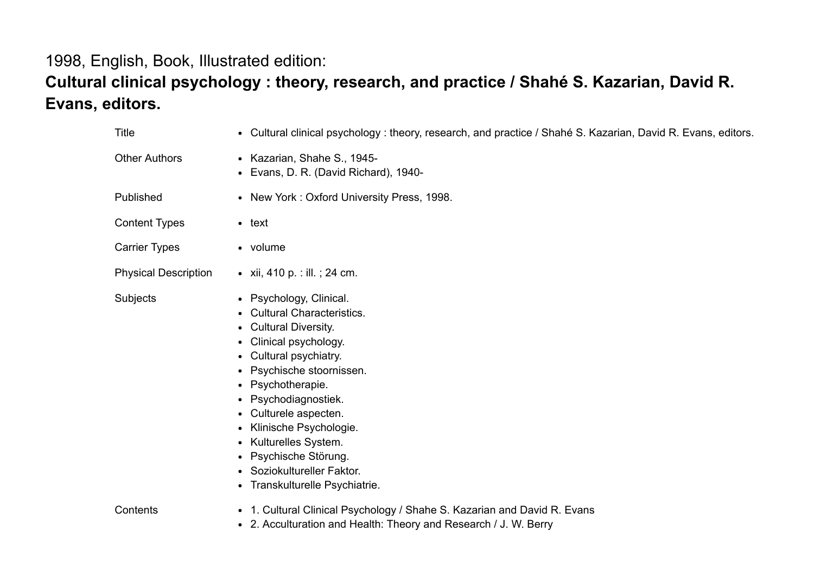## 1998, English, Book, Illustrated edition:

## Cultural clinical psychology : theory, research, and practice / Shahé S. Kazarian, David R. Evans, editors.

| <b>Title</b>                | • Cultural clinical psychology: theory, research, and practice / Shahé S. Kazarian, David R. Evans, editors.                                                                                                                                                                                                                                                                         |
|-----------------------------|--------------------------------------------------------------------------------------------------------------------------------------------------------------------------------------------------------------------------------------------------------------------------------------------------------------------------------------------------------------------------------------|
| <b>Other Authors</b>        | • Kazarian, Shahe S., 1945-<br>• Evans, D. R. (David Richard), 1940-                                                                                                                                                                                                                                                                                                                 |
| Published                   | • New York: Oxford University Press, 1998.                                                                                                                                                                                                                                                                                                                                           |
| <b>Content Types</b>        | $\bullet$ text                                                                                                                                                                                                                                                                                                                                                                       |
| <b>Carrier Types</b>        | • volume                                                                                                                                                                                                                                                                                                                                                                             |
| <b>Physical Description</b> | • xii, 410 p. : ill. ; 24 cm.                                                                                                                                                                                                                                                                                                                                                        |
| Subjects                    | • Psychology, Clinical.<br>• Cultural Characteristics.<br>• Cultural Diversity.<br>• Clinical psychology.<br>• Cultural psychiatry.<br>• Psychische stoornissen.<br>• Psychotherapie.<br>• Psychodiagnostiek.<br>• Culturele aspecten.<br>• Klinische Psychologie.<br>• Kulturelles System.<br>• Psychische Störung.<br>• Soziokultureller Faktor.<br>• Transkulturelle Psychiatrie. |
| Contents                    | • 1. Cultural Clinical Psychology / Shahe S. Kazarian and David R. Evans<br>• 2. Acculturation and Health: Theory and Research / J. W. Berry                                                                                                                                                                                                                                         |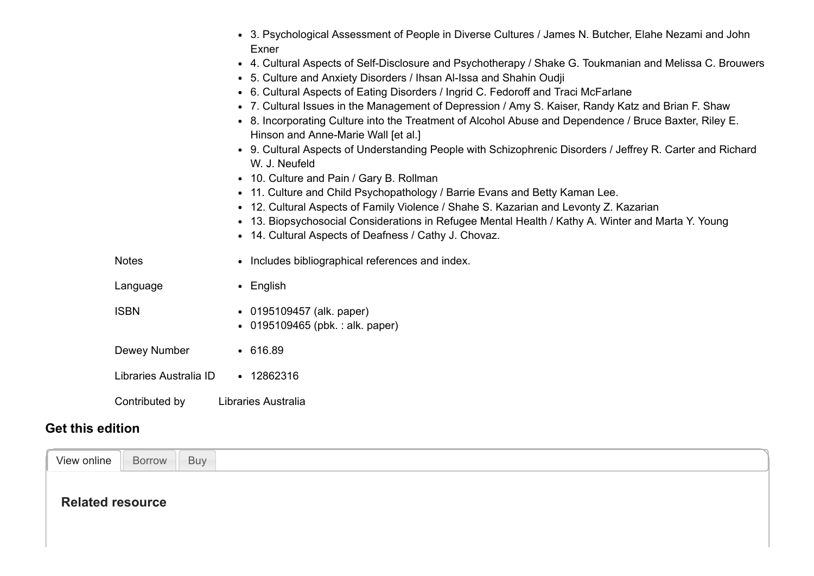|                        | • 3. Psychological Assessment of People in Diverse Cultures / James N. Butcher, Elahe Nezami and John<br>Exner                                                                  |
|------------------------|---------------------------------------------------------------------------------------------------------------------------------------------------------------------------------|
|                        | • 4. Cultural Aspects of Self-Disclosure and Psychotherapy / Shake G. Toukmanian and Melissa C. Brouwers<br>• 5. Culture and Anxiety Disorders / Ihsan Al-Issa and Shahin Oudji |
|                        | • 6. Cultural Aspects of Eating Disorders / Ingrid C. Fedoroff and Traci McFarlane                                                                                              |
|                        | • 7. Cultural Issues in the Management of Depression / Amy S. Kaiser, Randy Katz and Brian F. Shaw                                                                              |
|                        | • 8. Incorporating Culture into the Treatment of Alcohol Abuse and Dependence / Bruce Baxter, Riley E.<br>Hinson and Anne-Marie Wall [et al.]                                   |
|                        | • 9. Cultural Aspects of Understanding People with Schizophrenic Disorders / Jeffrey R. Carter and Richard<br>W. J. Neufeld                                                     |
|                        | • 10. Culture and Pain / Gary B. Rollman                                                                                                                                        |
|                        | • 11. Culture and Child Psychopathology / Barrie Evans and Betty Kaman Lee.                                                                                                     |
|                        | • 12. Cultural Aspects of Family Violence / Shahe S. Kazarian and Levonty Z. Kazarian                                                                                           |
|                        | • 13. Biopsychosocial Considerations in Refugee Mental Health / Kathy A. Winter and Marta Y. Young                                                                              |
|                        | • 14. Cultural Aspects of Deafness / Cathy J. Chovaz.                                                                                                                           |
| <b>Notes</b>           | • Includes bibliographical references and index.                                                                                                                                |
| Language               | $\bullet$ English                                                                                                                                                               |
| <b>ISBN</b>            | • 0195109457 (alk. paper)                                                                                                                                                       |
|                        | • 0195109465 (pbk.: alk. paper)                                                                                                                                                 |
| Dewey Number           | • 616.89                                                                                                                                                                        |
| Libraries Australia ID | $\cdot$ 12862316                                                                                                                                                                |
| Contributed by         | Libraries Australia                                                                                                                                                             |

## Get this edition

<span id="page-1-0"></span>

| View online<br>Buy<br>Borrow |  |
|------------------------------|--|
| <b>Related resource</b>      |  |